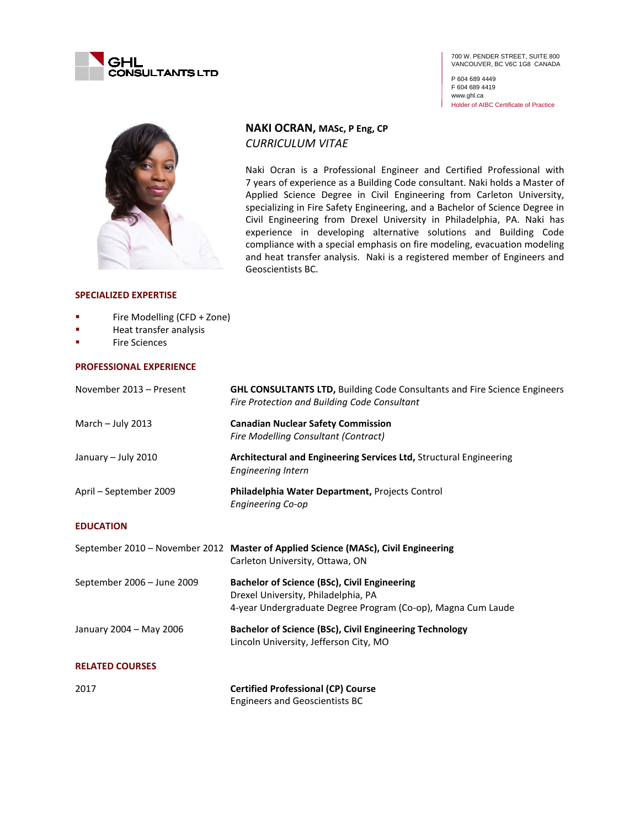

P 604 689 4449 F 604 689 4419 www.ghl.ca Holder of AIBC Certificate of Practice



# **NAKI OCRAN, MASc, P Eng, CP** *CURRICULUM VITAE*

Naki Ocran is a Professional Engineer and Certified Professional with 7 years of experience as a Building Code consultant. Naki holds a Master of Applied Science Degree in Civil Engineering from Carleton University, specializing in Fire Safety Engineering, and a Bachelor of Science Degree in Civil Engineering from Drexel University in Philadelphia, PA. Naki has experience in developing alternative solutions and Building Code compliance with a special emphasis on fire modeling, evacuation modeling and heat transfer analysis. Naki is a registered member of Engineers and Geoscientists BC.

### **SPECIALIZED EXPERTISE**

- **Fire Modelling (CFD + Zone)**
- **Heat transfer analysis**
- Fire Sciences

#### **PROFESSIONAL EXPERIENCE**

| November 2013 - Present    | <b>GHL CONSULTANTS LTD, Building Code Consultants and Fire Science Engineers</b><br>Fire Protection and Building Code Consultant                           |
|----------------------------|------------------------------------------------------------------------------------------------------------------------------------------------------------|
| March - July 2013          | <b>Canadian Nuclear Safety Commission</b><br><b>Fire Modelling Consultant (Contract)</b>                                                                   |
| January - July 2010        | Architectural and Engineering Services Ltd, Structural Engineering<br><b>Engineering Intern</b>                                                            |
| April - September 2009     | Philadelphia Water Department, Projects Control<br><b>Engineering Co-op</b>                                                                                |
| <b>EDUCATION</b>           |                                                                                                                                                            |
|                            | September 2010 - November 2012 Master of Applied Science (MASc), Civil Engineering<br>Carleton University, Ottawa, ON                                      |
| September 2006 - June 2009 | <b>Bachelor of Science (BSc), Civil Engineering</b><br>Drexel University, Philadelphia, PA<br>4-year Undergraduate Degree Program (Co-op), Magna Cum Laude |
| January 2004 - May 2006    | Bachelor of Science (BSc), Civil Engineering Technology<br>Lincoln University, Jefferson City, MO                                                          |
| <b>RELATED COURSES</b>     |                                                                                                                                                            |
| 2017                       | <b>Certified Professional (CP) Course</b><br><b>Engineers and Geoscientists BC</b>                                                                         |